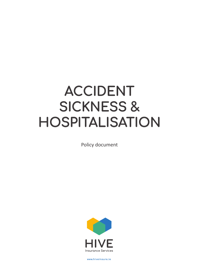# **ACCIDENT SICKNESS & HOSPITALISATION**

Policy document



**www.hiveinsure.ie**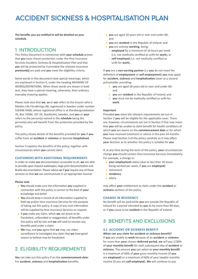## **ACCIDENT SICKNESS & HOSPITALISATION PLAN**

**The benefits you are entitled to will be detailed on your schedule.**

### **1 INTRODUCTION**

This Policy Document in connection with **your schedule** proves that **you** have chosen protection under the Hive Insurance Services Accident, Sickness & Hospitalisation Plan and that **you** will be protected by it provided the relevant insurance **premium(s)** are paid and **you** meet the eligibility criteria.

Some words in this document have special meanings, which are explained in Section 9, under the heading MEANING OF WORDS/DEFINITIONS. When these words are shown in bold text, they have a special meaning, otherwise, their ordinary everyday meaning applies.

Please note also that **we**, **us** or **our** refers to the Insurer who is Maiden Life Försäkrings AB, registered in Sweden under number 516406-0468, whose registered office is at Klarabergsviadukten 70, Box 70396, 107 24, Stockholm, Sweden, and **you** or **your** refers to the person(s) named in the **schedule** being the person(s) who will benefit from the protection provided by the policy.

The policy shows details of the benefits provided for **you** if **you**  suffer from an **accident** or **sickness** or become **hospitalised**.

Section 3 explains the benefits of the policy, together with circumstances when **you** cannot claim.

### **CUSTOMERS WITH ADDITIONAL REQUIREMENTS**

In order to make **our** documentation accessible to all, **we** are able to provide upon request audiotapes, large print documentation and Braille documentation. Please advise **us** if **you** require any of these services so that **we** can communicate in an appropriate manner.

#### **Please note**

- › **You** should make sure the information **you** supplied in connection with this policy is correct to the best of **your** knowledge and belief
- › **You** should keep a record of all information supplied to both **us** and/or Hive Insurance Services for the purpose of taking out this policy. A copy of any such information will be supplied by Hive Insurance Services on request
- › If **you** make any claim, which **we** can prove to be fraudulent, unfounded or exaggerated, all benefits under this policy will be lost and **we** will seek to recover any benefits paid under a claim
- › **We** may, and **you** agree that **we** may, use video surveillance to investigate any claim that **we** have good reason to believe may be fraudulent

### **2 ELIGIBILITY REQUIREMENTS**

**You** can take out this policy if on the **commencement date**: For **accident**, **sickness** and **hospitalisation** benefits:

- › **you** are aged 18 years old or over and under 60; and
- › **you** are **resident** in the Republic of Ireland; and
- › **you** are actively **working**, being:
	- **employed** for a minimum of 16 hours per week (i.e. not medically certified as unfit for **work**); or
	- **self-employed** (i.e. not medically certified as unfit for **work**).

If **you** are a **non-earning partner** (i.e **you** do not meet the definition of **employment** or **self-employment**) **you** may apply for **accident**, **sickness** and **hospitalisation** cover as a second policyholder providing:

- › **you** are aged 18 years old or over and under 60; and
- › **you** are **resident** in the Republic of Ireland; and
- you must not be medically certified as unfit for **work**.

#### **Important**

Provided **you** meet the relevant requirements set out in Section 2 **you** will be eligible for the applicable cover. There are, however, circumstances set out in Section 3 that may mean that **you** will be unable to claim benefit for health conditions of which **you** are aware on the **commencement date** or for which **you** have received treatment or advice in the past 24 months. Please read Section 3 of the policy carefully as it may affect **your** decision as to whether the policy is suitable for **you**.

If, at any time during the term of the policy, **your** circumstances change **you** should contact Hive Insurance Services immediately. For example, a change in:

- › **your employment** status (due to less than 16 hours being worked per week, if **you** are **employed**)
- › retirement
- › **residency**
- › salary.

may affect **your** entitlement to claim under the **accident** or **sickness** sections of the policy.

### **CHANGE IN RESIDENCY**

No benefit will be paid while **you** are outside the Republic of Ireland for a period intended by **you** to be more than 90 days, or if **you** cease to be **resident** in the Republic of Ireland.

### **3 BENEFITS AND EXCLUSIONS**

### **3.1 ACCIDENT OR SICKNESS BENEFIT**

**When can you claim for accident or sickness benefit?** If **you** are unable to **work** because of an **accident** or **sickness** for more than **your** chosen **deferred period**, **we** will pay 1/30th of **your monthly benefit** for each subsequent day of **accident** or **sickness**. The amount **you** can select as **your monthly benefit** is a maximum of 60% of **your** gross monthly income (if **you** are **employed**) or a maximum of 60% of your taxable monthly income (if you are **self-employed**). **We** will continue to pay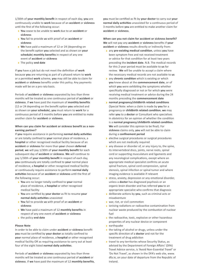1/30th of **your monthly benefit** in respect of each day, **you** are continuously unable to **work** because of an **accident** or **sickness** until the first of the following occur:

- › **You** cease to be unable to **work** due to an **accident** or **sickness**
- › **You** fail to provide **us** with proof of an **accident** or **sickness**
- › **We** have paid a maximum of 12 or 24 (depending on the benefit option **you** selected and as shown on **your schedule**) **monthly benefits** in respect of any one event of **accident** or **sickness**
- › The policy **end date**

If **you** have a job but do not meet the definition of **work** because **you** are returning as part of a phased return to **work** or a permitted **work** scheme, **you** may still be able to claim for **accident** or **sickness** benefits under this policy. Any payments made will be on a pro rata basis.

Periods of **accident** or **sickness** separated by less than three months will be treated as one continuous period of **accident** or **sickness**. If **we** have paid the maximum of **monthly benefits** (12 or 24 depending on the benefit option **you** selected and as shown on **your schedule**), **you** must return to **work** for a continuous period of 3 months before **you** are entitled to make another claim for **accident** or **sickness**.

### **When can you claim for accident or sickness benefit as a nonearning partner?**

If **you** require assistance in performing **normal daily activities** or are totally confined to **your** normal place of residence, a **hospital** or other recognised medical facility because of an **accident** or **sickness** for more than **your** chosen **deferred period**, **we** will pay 1/30th of **your monthly benefit** for each subsequent day of **accident** or **sickness**. **We** will continue to pay 1/30th of **your monthly benefit** in respect of each day, **you** continuously are totally confined to **your** normal place of residence, a **hospital** or other recognised medical facility or continuously require assistance to perform **normal daily activities** because of an **accident** or **sickness** until the first of the following occur:

- › **You** are no longer totally confined to **your** normal place of residence, a **hospital** or other recognised medical facility
- › **You** are certified by **your doctor** as fit to resume **your normal daily activities** unassisted
- › **You** fail to provide **us** with proof of an **accident** or **sickness**
- › **We** have paid a maximum of 12 **monthly benefits** in respect of any one event of **accident** or **sickness**
- › the policy **end date**

#### **Please Note**

In order to be able to claim under **accident** or **sickness** benefit **you** must be certified by **your doctor** as totally confined to **your** normal place of residence, a **hospital** or other recognised medical facility OR as requiring assistance to carry out at least four of the eight listed **normal daily activities**.

Periods of **accident** or **sickness** separated by less than three months will be treated as one continuous period of **accident** or **sickness**. If **we** have paid the maximum of 12 **monthly benefits**, **you** must be certified as fit by **your doctor** to carry out **your normal daily activities** unassisted for a continuous period of 3 months before **you** are entitled to make another claim for **accident** or **sickness**.

**When can you not claim for accident or sickness benefit? We** will not pay any **accident** or **sickness** benefits if **your accident** or **sickness** results directly or indirectly from:

- › any **pre-existing medical condition**, unless **you** have been symptom free and not received treatment or advice for that condition for at least two years preceding the **incident date**. N.B. The medical records for this 2-year period must be available to **us** for review. **We** will be unable to accept a claim where the necessary medical records are not available to **us**
- **a** any **chronic condition** which is existing or which **you** knew about at the **commencement date**, or of which **you** were exhibiting the symptoms whether specifically diagnosed or not or for which **you** were receiving medical treatment or advice during the 24 months preceding the **commencement date**
- › **normal pregnancy/childbirth related conditions** (Special Note: when a claim is made by **you** for a pregnancy or **childbirth related condition**, **we** may refer **you** to a **doctor** or Consultant who specialises in obstetrics for an opinion of whether the condition is a **normal pregnancy**/**childbirth related condition**. **We** will consider this opinion to be final). For **sickness** claims only, **you** will not be able to claim during a **confinement period**
- › elective surgical procedures or surgical procedures which are not medically required
- › any disease or disorder of, or any injury to, the spine, its intervertebral discs, joints, nerve roots, spinal cord or supporting musculature and ligaments and any neurological complications, except where an appropriate medical specialist confirms an acute spinal fracture, spinal cord compression, spinal stenosis, spinal infection or spinal tumor and where imaging evidence is available if relevant
- › stress, anxiety, depression or any emotional disorder, unless a **doctor** has diagnosed psychosis or an organic brain disorder and has referred **you** to an appropriate specialist who confirms that diagnosis
- › deliberate actions by **you**, such as criminal acts or misadventure
- › war, riot, or civil commotion
- › ionising radiations or radioactive contamination from nuclear waste produced by the combustion of nuclear fuel
- I the radioactive, toxic, explosive or other hazardous properties of any nuclear device or component › earthquake
- 
- If the taking of alcohol or drugs, unless under the specific direction of a **doctor** and not for the treatment of drug addiction
- › travel to any territories whose Security Status, as advised by the Department of Foreign Affairs' (DFA) Travel Advice service, is 'Avoid Non-Essential Travel' or 'Do Not Travel', as shown in the DFA's web site, www. dfa.ie, on your date of departure from the Republic of Ireland.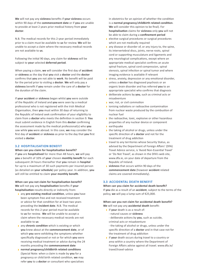**We** will not pay any **sickness** benefits if **your sickness** occurs within 90 days of the **commencement date** or if **you** are unable to provide at least 2 years prior medical history from **your doctor**.

N.B. The medical records for this 2-year period immediately prior to a claim must be available to **us** for review. **We** will be unable to accept a claim where the necessary medical records are not available to **us**.

Following the initial 90 days, any claim for **sickness** will be subject to **your** selected **deferred period**.

When paying a claim, **we** will consider the first day of **accident** or **sickness** as the day that **you** visit a **doctor** and the **doctor** confirms that **you** are not able to **work**. No benefit will be paid for the period prior to visiting a **doctor**. **We** will only pay a **sickness** benefit if **you** remain under the care of a **doctor** for the duration of the claim.

If **your accident** or **sickness** began whilst **you** were outside of the Republic of Ireland and **you** were seen by a medical professional who is not registered with the Irish Medical Organisation, then **you** must within 30 days of returning to the Republic of Ireland seek confirmation of your eligibility to claim from a **doctor** who meets the definition in section 9. **You** must submit evidence in English from this **doctor** confirming the assessment made by the medical professional(s) who **you** saw while **you** were abroad. In this case, **we** may consider the first day of **accident** or **sickness** as prior to the day that **you** first visited a **doctor**.

### **3.2 HOSPITALISATION BENEFIT**

**When can you claim for hospitalisation benefit?** If **you** are **hospitalised** for more than 48 hours, **we** will pay **you** a benefit of 10% of **your** chosen **monthly benefit** for each subsequent 24 hours thereafter that **you** remain in **hospital** for up to a maximum of 30 such payments per insured person (as detailed on **your schedule**) per policy year. In addition, **you**  will still be entitled to claim **your monthly benefit**.

**When can you not claim for hospitalisation benefit? We** will not pay any **hospitalisation** benefits if **your hospitalisation** results directly or indirectly from:

- › any **pre-existing medical condition**, unless **you** have been symptom free and not received treatment or advice for that condition for at least two years preceding the **incident date**. N.B. The medical records for this 2-year period must be available to **us** for review. **We** will be unable to accept a claim where the necessary medical records are not available to **us**
- **a** any **chronic condition** which is existing or which **you** knew about at the **commencement date**, or of which **you** were exhibiting the symptoms whether specifically diagnosed or not or for which **you** were receiving medical treatment or advice during the 24 months preceding the **commencement date**
- › **normal pregnancy/childbirth related conditions** (Special Note: when a claim is made by **you** for a pregnancy or child birth related condition, **we** may refer **you** to a **doctor** or consultant who specialises

in obstetrics for an opinion of whether the condition is a **normal pregnancy**/**childbirth related condition**. **We** will consider this opinion to be final). For **hospitalisation** claims for **sickness** only **you** will not be able to claim during a **confinement period**

- › elective surgical procedures or surgical procedures which are not medically required
- › any disease or disorder of, or any injury to, the spine, its intervertebral discs, joints, nerve roots, spinal cord or supporting musculature and ligaments and any neurological complications, except where an appropriate medical specialist confirms an acute spinal fracture, spinal cord compression, spinal stenosis, spinal infection or spinal tumor and where imaging evidence is available if relevant
- › stress, anxiety, depression or any emotional disorder, unless a **doctor** has diagnosed psychosis or an organic brain disorder and has referred **you** to an appropriate specialist who confirms that diagnosis
- › deliberate actions by **you**, such as criminal acts or misadventure
- › war, riot, or civil commotion
- **I** ionising radiations or radioactive contamination from nuclear waste produced by the combustion of nuclear fuel
- I the radioactive, toxic, explosive or other hazardous properties of any nuclear device or component
- › earthquake
- If the taking of alcohol or drugs, unless under the specific direction of a **doctor** and not for the treatment of drug addiction
- **I** travel to any territories whose Security Status, as advised by the Department of Foreign Affairs' (DFA) Travel Advice service, is 'Avoid Non-Essential Travel' or 'Do Not Travel', as shown in the DFA's web site, www.dfa.ie, on your date of departure from the Republic of Ireland.
- › **sickness** that occurs within 90 days of the **commencement date** (however **accident** related claims are covered immediately).

### **3.3 ACCIDENTAL DEATH BENEFIT**

**When can you claim for accidental death benefit?** If **you** die as a result of an **accident**, subject to the terms of the policy, **we** will pay a lump sum of €25,000.

### **When can you not claim for accidental death benefit? We** will not pay any **accidental death** benefit:

- › if **your** death is as a result of:
	- natural causes or **sickness**
	- deliberate actions by **you**, such as suicide,
	- criminal acts or misadventure
	- the taking of alcohol or drugs, unless under the specific direction of a **doctor** and in that case not for the treatment of drug addiction
- › if **your** death occurs during travel to a country or area within a country where the Department of Foreign Affairs advise against all travel. www.dfa.ie/ travel/travel-advice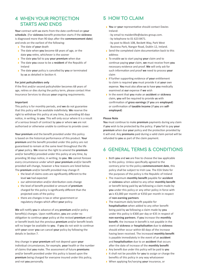### **4 WHEN YOUR PROTECTION STARTS AND ENDS**

**Your** contract with **us** starts from the date confirmed on **your schedule**. (For **sickness** benefit protection starts if the **sickness** is diagnosed more than 90 days after the **commencement date**) and ends on the earliest of the following:

- › The date of **your** death
- › The date when **you** become 68 years of age, or the date **you** retire, whichever is the sooner
- › The date **you** fail to pay **your premium** when due
- › The date **you** cease to be a **resident** of the Republic of Ireland
- › The date **your** policy is cancelled by **you** or terminated by **us** as detailed in Section 4.

### **For joint policyholders only**

If the first and/or second policyholder becomes 68 years of age, retires or dies during the policy term, please contact Hive Insurance Services to discuss **your** ongoing requirements.

#### **Important**

This policy is for monthly periods, and **we** do not guarantee that this policy will be available indefinitely. **We** reserve the right to withdraw this policy at any time, by providing 60 days notice, in writing, to **you**. This will only occur where it is a result of a serious breach of contract by **you** or where **we** are not authorised or otherwise unable to continue to provide cover.

**Your premium** and the benefit provided under this policy is based on the historical performance of this product. **Your premium** and the benefit provided under this policy are not guaranteed to remain at the same level throughout the life of **your** policy. **We** reserve the right to amend the **premium** and/or benefit(s) provided under this policy at any time, by providing 30 days notice, in writing, to **you**. **We** cannot foresee every circumstance under which **your premium** and/or benefit provided will change, however a few reasons are listed below. The **premium** and/or benefit provided may change if:

- › the level of claims costs are significantly different to the level **we** had expected
- › our administration and/or distribution costs change
- › the level of benefit provided or amount of **premium** charged for this policy is significantly different than the projected costs of the policy
- › there are changes in tax or other government or regulatory charges which affect **your** policy.

**We** will notify **you** in advance of any **premium** and/or policy benefit(s) changes. Upon notification, **you** are under no obligation to continue **your** policy at the revised **premium** and/ or benefit levels but the previous **premium** and/or benefit levels will no longer be available to **you**. If **you** do not wish to continue with **your** cover **you** can cancel **your** policy by following the details in Section 7.

Any change in **your premium** will not depend upon **your** individual circumstances, for example, **your** health or the number of claims that **you** make. The assessment of future **premiums** and/or benefit provided under this policy is based upon the **premium** being charged for everyone insured under this policy, and not **you** personally.

### **5 HOW TO CLAIM**

- › **You** or **your** representative should contact Davies Ireland:
	- by email to maidenlife@davies-group.com.
	- by telephone to 01 623 8471.
	- by post to Block 10B, Beckett Way, Park West Business Park, Nangor Road, Dublin 12, Ireland.
- › Send the completed claim documentation back to this address
- › To enable **us** to start paying **your** claim and to continue paying **your** claim, **we** must receive from **you** necessary evidence and proof. **We** will only ask for such information and proof **we** need to process **your** claim
- › If further supporting evidence of **your** entitlement to claim is required **you** must provide it at **your** own expense. **You** must also allow **us** to have **you** medically examined at **our** expense if **we** wish
- › In the event that **you** make an **accident** or **sickness** claim, **you** will be required to provide **us** with confirmation of **gross earnings** (if **you** are **employed**) or confirmation of **taxable income** (if **you** are **selfemployed**)

### **Please Note**

**You** must continue to make **premium** payments during any claim if **you** wish to be protected by the policy. If **you** fail to pay **your premium** when due **your** policy and the protection provided by it will end. Any **premiums** paid during a valid claim period will be refunded to **you** as part of the claim payment.

### **6 GENERAL TERMS & CONDITIONS**

- › Both **you** and **we** are free to choose the law applicable to this policy. Unless specifically agreed to the contrary prior to the policy **commencement date**, this policy shall be subject to Irish Law. The EEA State for the purposes of the policy is the Republic of Ireland
- › The maximum **monthly benefit** payable for **accident** or **sickness** when added to any other **monthly benefit** or benefit being paid by **us** following a claim made by **you** under this policy or any other policy in force with **us** is €3,000 per month or €350 per month in respect of **non-earning partners**
- **I** The maximum daily benefit payable for **hospitalisation** when added to any other benefit being paid by **us** following a claim made by **you**  under this policy is €300 per day or €35 in respect of **non-earning partners**. If **you** increase the **monthly benefit**, the increase in benefit is not payable in the event of **sickness** or **hospitalisation** due to **sickness** should either occur within 60 days of the increase having been received. The increased **monthly benefit** is payable immediately in the event of an **accident** and **hospitalisation** due to an **accident** that occurs after the date of increase of the **monthly benefit**
- › Any benefit due under this policy will be paid to **you**
- › It shall not be possible for **you** to assign or charge the benefits of this policy in any way whatsoever
- › When applying for/varying **your** insurance, or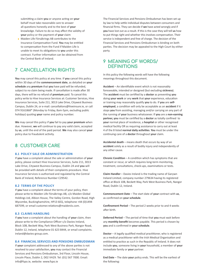submitting a claim **you** or anyone acting on **your** behalf must take reasonable care to answer all questions honestly and to the best of **your** knowledge. Failure to do so may affect the validity of **your** policy or the payment of **your** claim

› Maiden Life Försäkrings AB contributes to the Insurance Compensation Fund. **You** may be entitled to compensation from the Fund if Maiden Life is unable to meet its obligations to **you** under this contract. Further information can be obtained from the Central Bank of Ireland.

### **7 CANCELLATION RIGHTS**

**You** may cancel this policy at any time. If **you** cancel this policy within 30 days of the **commencement date**, as detailed on **your schedule** any **premium** that **you** have paid will be refunded, subject to no claim being made. If cancellation is made after 30 days, there will be no refund of **premium** paid. To cancel this policy write to Hive Insurance Services at: Customer Services, Hive Insurance Services, Suite 211, 3013 Lake Drive, Citywest Business Campus, Dublin 24, or e-mail: cancellations@hiveinsure.ie, or call 074 9161868\* (Monday to Friday, 8am-5pm, excluding public holidays) quoting **your** name and policy number.

**We** may cancel this policy if **you** fail to pay **your premium** when due. However, **we** will continue to pay any valid claim, accepted by **us**, until the end of the paid period. **We** may also cancel **your** policy due to fraudulent activity.

### **8 CUSTOMER CARE**

### **8.1 POLICY SALE OR ADMINISTRATION**

If **you** have a complaint about the sale or administration of **your** policy, please contact Hive Insurance Services, Suite 211, 3013 Lake Drive, Citywest Business Campus, Dublin 24 and **you** will be provided with details of their complaints procedure. Hive Insurance Services is authorised and regulated by the Central Bank of Ireland, Reference Number C29542.

#### **8.2 TERMS OF THE POLICY**

If **you** have a complaint about the terms of your policy, then please write to Maiden Life Försäkrings AB, c/o Maiden Global Holdings Ltd, Albion House, The Valley Centre, Gordon Road, High Wycombe, Buckinghamshire, HP13 6EQ, telephone +44 (0)1494 687599, or email customer.relations@maideniis.com.

### **8.3 CLAIMS HANDLING**

If **you** have a complaint about the handling of **your** claim, then please write to the Compliance Officer c/o Davies Ireland, Block 10B, Beckett Way, Park West Business Park, Nangor Road, Dublin 12, Ireland, telephone 01 623 8444, or email complaints. ireland@davies-group.com.

### **8.4 FINANCIAL SERVICES AND PENSIONS OMBUDSMAN**

If **your** complaint addressed to any of the above parties is not resolved to your satisfaction, **you** may contact the Financial Services and Pensions Ombudsman, 3rd Floor, Lincoln House, Lincoln Place, Dublin 2, D02 VH29. Tel: (01) 567 7000. Email: info@fspo.ie, website: www.fspo.ie

The Financial Services and Pensions Ombudsman has been set up by law to help settle individual disputes between consumers and financial firms. They can decide if **we** have acted wrongly and if **you** have lost out as a result. If this is the case they will tell **us** how to put things right and whether this involves compensation. Their service is independent and free of charge. The decision of the Financial Services and Pensions Ombudsman is binding on both parties. The decision may be appealed to the High Court by either party.

### **9 MEANING OF WORDS/ DEFINITIONS**

In this policy the following words will have the following meanings throughout this document.

**Accident** – An identifiable event which is not reasonably foreseeable, intended or designed (but excluding **sickness**). The **accident** must be certified by a **doctor** as preventing **you**  doing **your work** or any **work** that **your** experience, education or training may reasonably qualify **you** to do. If **you** are **selfemployed**, a condition will only be acceptable as an **accident** if it stops **you** from assisting, managing and/or carrying on any part of the running of **your** business whatsoever. If **you** are a **non-earning partner, you** must be certified by a **doctor** as totally confined to **your** normal place of residence, a **hospital** or other recognised medical facility OR as requiring assistance to carry out at least 4 of the 8 listed **normal daily activities**. **You** must be under the continuing care of a **doctor** throughout **your** claim.

**Accidental death** – means death that occurs by way of an **accident** solely as a result of bodily injury and independently of any other cause.

**Chronic Condition** – A condition which has symptoms that are constant or recur, or which requires long-term monitoring, treatment, consultations, check-ups, examinations or tests.

**Claim Handler** – Davies Ireland is the trading name of Garywn Ireland Limited, company number 279634 having its registered office at Block 10B, Beckett Way, Park West Business Park, Nangor Road, Dublin 12, Ireland.

**Commencement Date** – The start date of **your** contract with **us**, as confirmed on **your schedule**.

**Confinement Period** – The period 2 weeks prior to and 4 weeks after birth.

**Deferred Period** – The period of time that **you** must wait before any **monthly benefit** becomes payable. This period is chosen by **you** and is confirmed in **your schedule**.

**Doctor** – A legally qualified medical practitioner, who is registered as a medical practitioner with the Irish Medical Organisation and entitled to practice as such in the Republic of Ireland. It does not include **you**, someone living in **your** household, a member of **your** immediate family or **your** partner.

**End Date** – The date **your** policy ends. This will be the earliest of the following: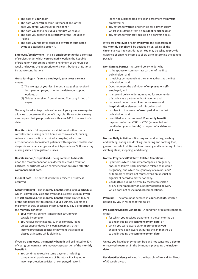- › The date of **your** death
- › The date when **you** become 68 years of age, or the date **you** retire, whichever is the sooner
- › The date **you** fail to pay **your premium** when due
- › The date you cease to be a **resident** of the Republic of Ireland
- › The date **your** policy is cancelled by **you** or terminated by **us** as detailed in Section 4.

**Employed/Employment** – In paid **employment** under a contract of services under which **you** ordinarily **work** in the Republic of Ireland or Northern Ireland for a minimum of 16 hours per week and paying the appropriate PRSI contributions or National Insurance contributions.

**Gross Earnings** – If **you** are **employed**, **your gross earnings** means:

- (i) The average of **your** last 3 months wage slips received from **your** employer, prior to the date **you** stopped **working**; or
- (ii) Dividends received from a Limited Company in lieu of wages.

**You** may be asked to provide evidence of **your gross earnings** to allow **us** to determine the benefit payable. Please note, **we** may also request that **you** provide **us** with **your** P60 in the event of a claim.

**Hospital** – A lawfully operated establishment (other than a convalescent, nursing or rest home, or convalescent, nursing, self-care or rest section or unit of a **hospital**) which has accommodation for **resident** patients with organised facilities for diagnosis and major surgery and which provides a 24 Hours a day nursing service by registered nurses.

**Hospitalisation/Hospitalised** – Being confined to **hospital** upon the recommendation of a doctor solely as a result of **accident**, or **sickness** which commenced or occurred after the **commencement date**.

**Incident date** - The date at which the accident or sickness occurred.

**Monthly Benefit** – The **monthly benefit** stated in **your schedule**, which is payable by **us** in the event of a successful claim. If you are **self-employed**, the **monthly benefit** will be limited to 60% of the additional cost to continue **your** business, subject to a maximum of 60% of taxable income. **We** may pay a proportion of the **monthly benefit** if:

- **Your** monthly benefit is more than 60% of your taxable income; or
- **You** receive other income, such as company loans unless substantiated by a loan agreement, other income protection policies or payment that could be classed as income while claiming.

If you are **employed**, the **monthly benefit** will be limited to 60% of your gross earnings. **We** may pay a proportion of the **monthly benefit** if:

› **You** continue to receive some payment, including company sick pay in excess of Statutory Sick Pay, other income protection policies, or company/director's

loans not substantiated by a loan agreement from **your** employer; or

- › **You** return to **work** in another job for a lower salary whilst still suffering from an **accident** or **sickness**; or
- › **You** return to your previous job on a part time basis.

If you are **employed** or **self-employed**, the proportion of the **monthly benefit** will be decided by **us**, taking all the circumstances into consideration. **You** may be asked to provide evidence of ongoing income to allow **us** to determine the benefit payable.

**Non-Earning Partner** – A second policyholder who:

- › Is the spouse or common law partner of the first policyholder; and
- › Is residing permanently at the same address as the first policyholder; and
- › Does not meet the definition of **employed** or **selfemployed**; and
- › Is a second policyholder nominated for cover under this policy as a partner without income; and
- › Is covered under the **accident** or **sickness** and **hospitalisation** elements of this policy; and
- › Is subject to the same **deferred period** as the first policyholder; and
- › Is entitled to a maximum of 12 **monthly benefit** payments of either €300 or €350 (as selected and detailed on **your schedule**) in respect of **accident** or **sickness**.

**Normal Daily Activities** – Dressing and undressing; washing and bathing; eating and drinking; preparing and cooking food; general household duties such as cleaning and laundering clothes; climbing stairs; shopping; and driving.

### **Normal Pregnancy/Childbirth Related Conditions** –

- › Symptoms which normally accompany a pregnancy and/or childbirth (including those related to multiple pregnancy) and which are generally of a minor and/ or temporary nature not representing an unusual or significant hazard to mother or baby.
- › Childbirth including delivery by caesarean section or any other medically or surgically assisted delivery which does not cause medical complications.

**Premium** – The amount as detailed in **your schedule**, which is payable by **you** in respect of this policy.

**Pre-Existing Medical Condition** – A condition or related condition either:

- › for which **you** received treatment in the 24 months up to and including the **commencement date**, or
- › which **you** were aware of, or in **our** opinion **you**  should have been aware of, during the 24 months up to and including the **commencement date**.

Unless **you** have been symptom free and not consulted a **doctor** or received treatment in the 24 months preceding the **incident date**.

**Resident/Residency** – Living in the Republic of Ireland for 40 out of 52 weeks a year.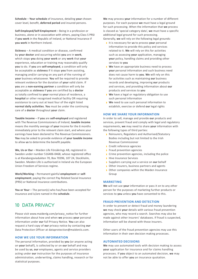**Schedule** – **Your schedule** of insurance, detailing **your** chosen cover level, benefit, **deferred period** and insured persons.

**Self-Employed/Self-Employment** – Being in a profession or business, alone or in association with others, paying Class S PRSI if **you work** in the Republic of Ireland, or National Insurance if **you work** in Northern Ireland.

**Sickness** – A medical condition or disease, confirmed by **your doctor** and occurring whilst **you** are in **work**, which stops **you** doing **your work** or any **work** that **your** experience, education or training may reasonably qualify **you** to do. If **you** are **self-employed**, a condition will only be acceptable as **sickness** if it stops **you** from assisting, managing and/or carrying on any part of the running of **your** business whatsoever. **You** will be required to provide relevant evidence for the duration of **your** valid claim. If **you** are a **non-earning partner** a condition will only be acceptable as **sickness** if **you** are certified by a **doctor** as totally confined to **your** normal place of residence, a **hospital** or other recognised medical facility OR requiring assistance to carry out at least four of the eight listed **normal daily activities**. **You** must be under the continuing care of a **doctor** throughout **your** claim.

**Taxable Income** – If **you** are **self-employed** and registered with The Revenue Commissioners of Ireland, **taxable income** means the monthly average of **your** income for the 6 months immediately prior to the relevant claim start, and where your earnings have been declared to The Revenue Commissioners. **You** may be asked to provide evidence of **your taxable income** to allow **us** to determine the benefit payable.

**We, Us or Our** – Maiden Life Försäkrings AB, registered in Sweden under number 516406-0468, whose registered office is at Klarabergsviadukten 70, Box 70396, 107 24, Stockholm, Sweden. Maiden Life is authorised in Ireland via the European Union Freedom of Services regime.

**Work/Working** – Permanent gainful **employment** or **selfemployment**; paying the correct Pay Related Social Insurance (PRSI) or National Insurance contributions.

**You or Your** – The person(s) who has/have been accepted for insurance and is/are named in the **schedule**.

### **10 DATA PRIVACY**

Please visit www.maidenlg.com/privacy notice for further information about how and when **we** process **your** personal information under **our** full Privacy Notice. **You** can also request a hard copy of **our** privacy notice by contacting **our** Data Protection Officer at dataprotection@maideniis.com.

### **HOW WE USE YOUR INFORMATION**

The personal information, provided by **you** (or anyone acting on **your** behalf), is collected by or on **our** behalf and may be used by **us**, **our** employees, agents and service providers acting under **our** instruction for the purposes of insurance administration, underwriting, claims handling, research or for statistical purposes.

**We** may process **your** information for a number of different purposes. For each purpose **we** must have a legal ground for such processing. When the information that **we** process is classed as 'special category data', **we** must have a specific additional legal ground for such processing. Generally, **we** will rely on the following legal grounds:

- › It is necessary for **us** to process **your** personal information to provide this policy and services related to it. **We** will rely on this for activities such as assessing **your** application, managing **your** policy, handling claims and providing other services to **you**
- › **We** have an appropriate business need to process **your** personal information and such business need does not cause harm to **you**. **We** will rely on this for activities such as maintaining **our** business records and developing, improving **our** products and services, and providing information about **our** products and services to **you**
- › **We** have a legal or regulatory obligation to use such personal information
- › **We** need to use such personal information to establish, exercise or defend **our** legal rights

### **HOW WE SHARE YOUR INFORMATION**

In order to sell, manage and provide **our** products and services, prevent fraud and comply with legal and regulatory requirements, **we** may need to share **your** information with the following types of third parties:

- › Reinsurers, Regulators and Authorised/Statutory Bodies including but not limited to the Irish Revenue Commissioner
- › Credit reference agencies
- › Fraud prevention agencies
- **•** Crime prevention agencies, including the police
- › Hive Insurance Services
- › Suppliers carrying out a service on **our** behalf
- **I** Other insurers, business partners and agents
- › Other companies within the Maiden Insurance Group

### **MARKETING**

**We** will not use **your** information or pass it on to any other person for the purposes of marketing further products or services to **you** unless **you** have consented to this.

### **FRAUD PREVENTION AND DETECTION**

In order to prevent or detect fraud and money laundering **we** may check **your** details with various fraud prevention agencies, who may record a search. Searches may also be made against other insurers' databases. If fraud is suspected, information will be shared with those insurers.

Other users of the fraud prevention agencies may use this information in their own decision making processes.

### **AUTOMATED DECISIONS**

**We** may use automated tools with decision making to assess **your** application for insurance and for claims handling processes. If **you** object to an automated decision, **we** may not be able to offer **you** an insurance quotation.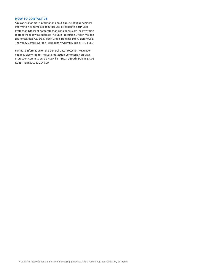### **HOW TO CONTACT US**

**You** can ask for more information about **our** use of **your** personal information or complain about its use, by contacting **our** Data Protection Officer at dataprotection@maideniis.com, or by writing to **us** at the following address: The Data Protection Officer, Maiden Life Försäkrings AB, c/o Maiden Global Holdings Ltd, Albion House, The Valley Centre, Gordon Road, High Wycombe, Bucks, HP13 6EQ.

For more information on the General Data Protection Regulation **you** may also write to The Data Protection Commission at: Data Protection Commission, 21 Fitzwilliam Square South, Dublin 2, D02 RD28, Ireland. 0761 104 800